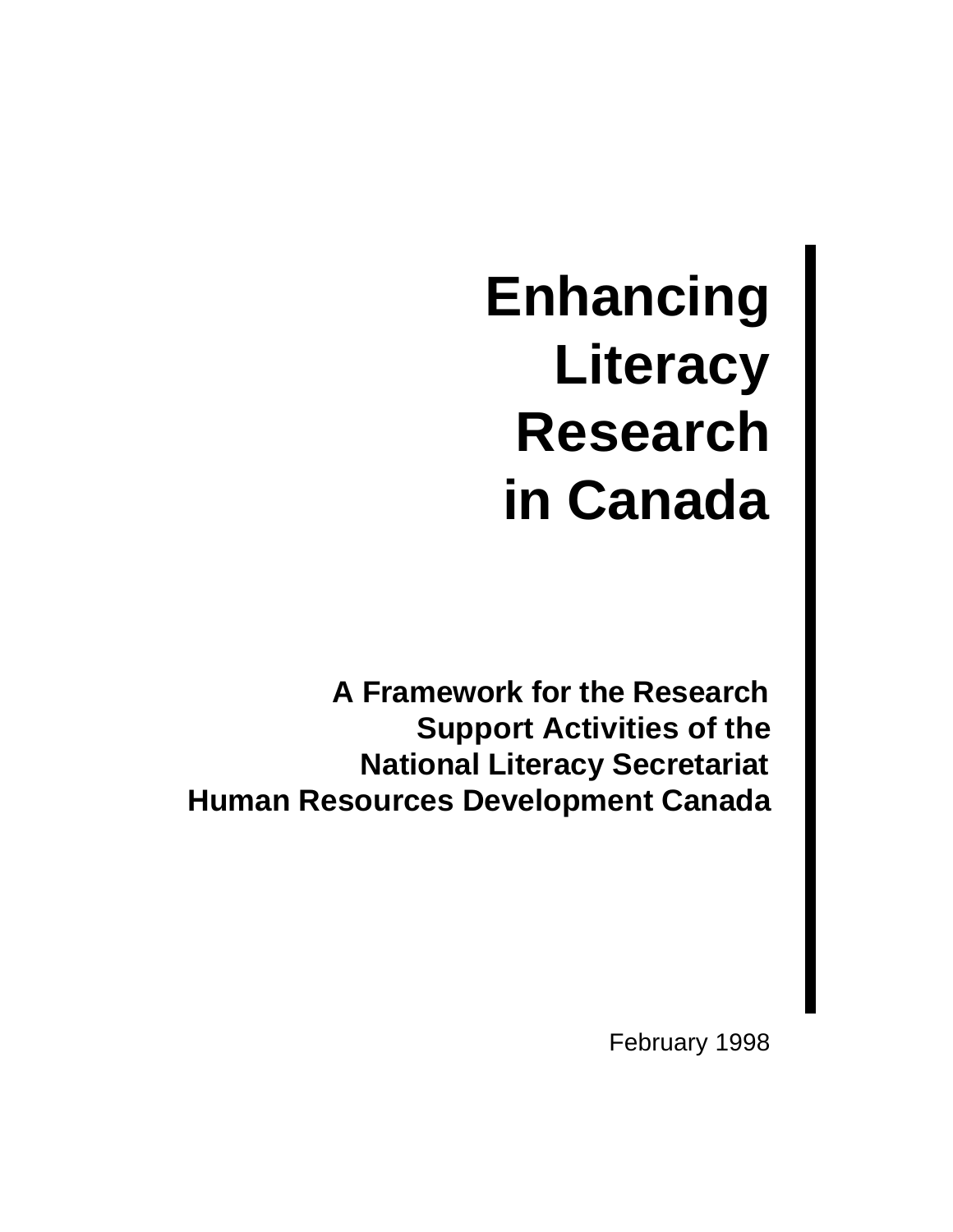**Enhancing Literacy Research in Canada**

**A Framework for the Research Support Activities of the National Literacy Secretariat Human Resources Development Canada**

February 1998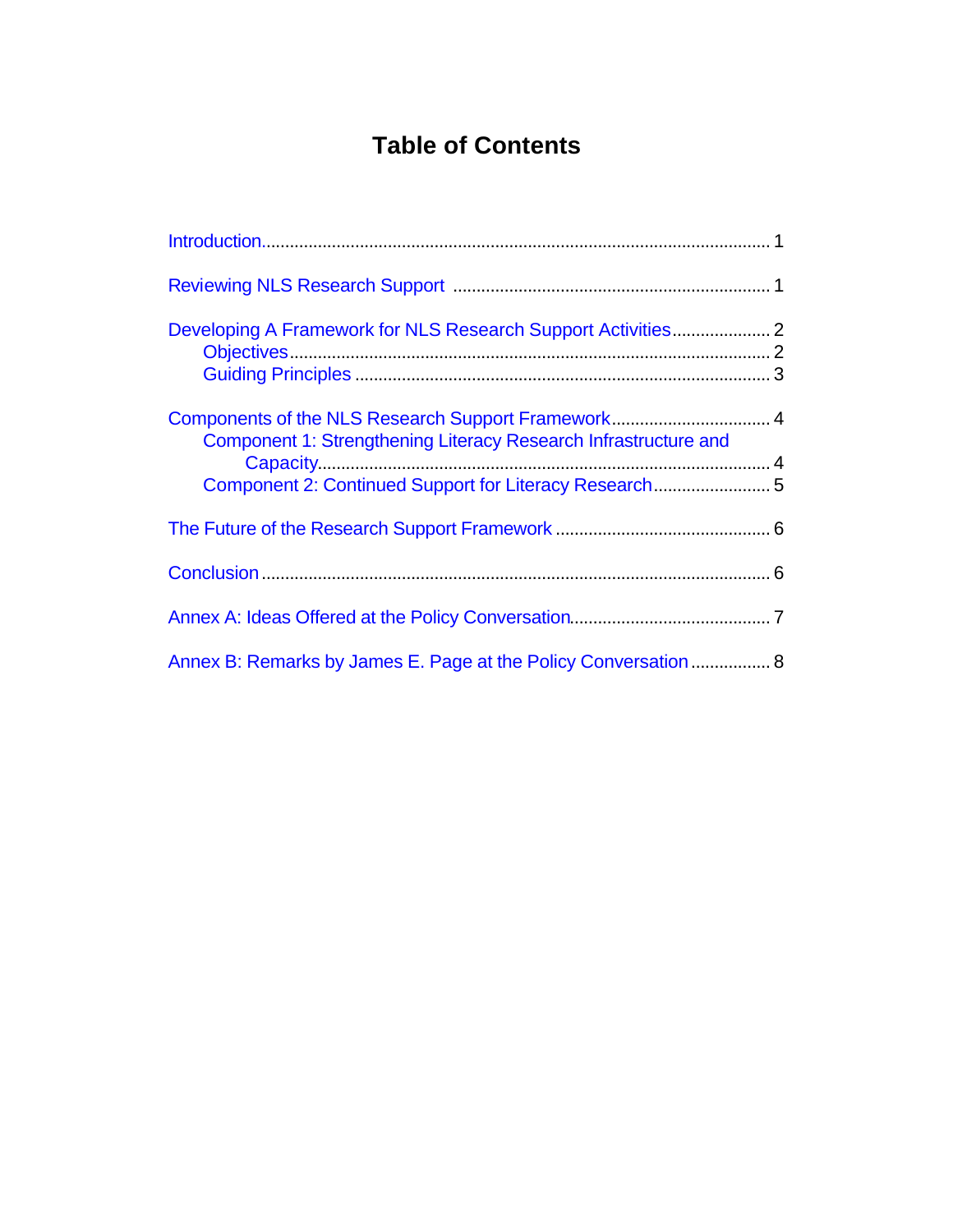# **Table of Contents**

| Developing A Framework for NLS Research Support Activities 2    |  |
|-----------------------------------------------------------------|--|
|                                                                 |  |
| Component 1: Strengthening Literacy Research Infrastructure and |  |
| Component 2: Continued Support for Literacy Research 5          |  |
|                                                                 |  |
|                                                                 |  |
|                                                                 |  |
| Annex B: Remarks by James E. Page at the Policy Conversation  8 |  |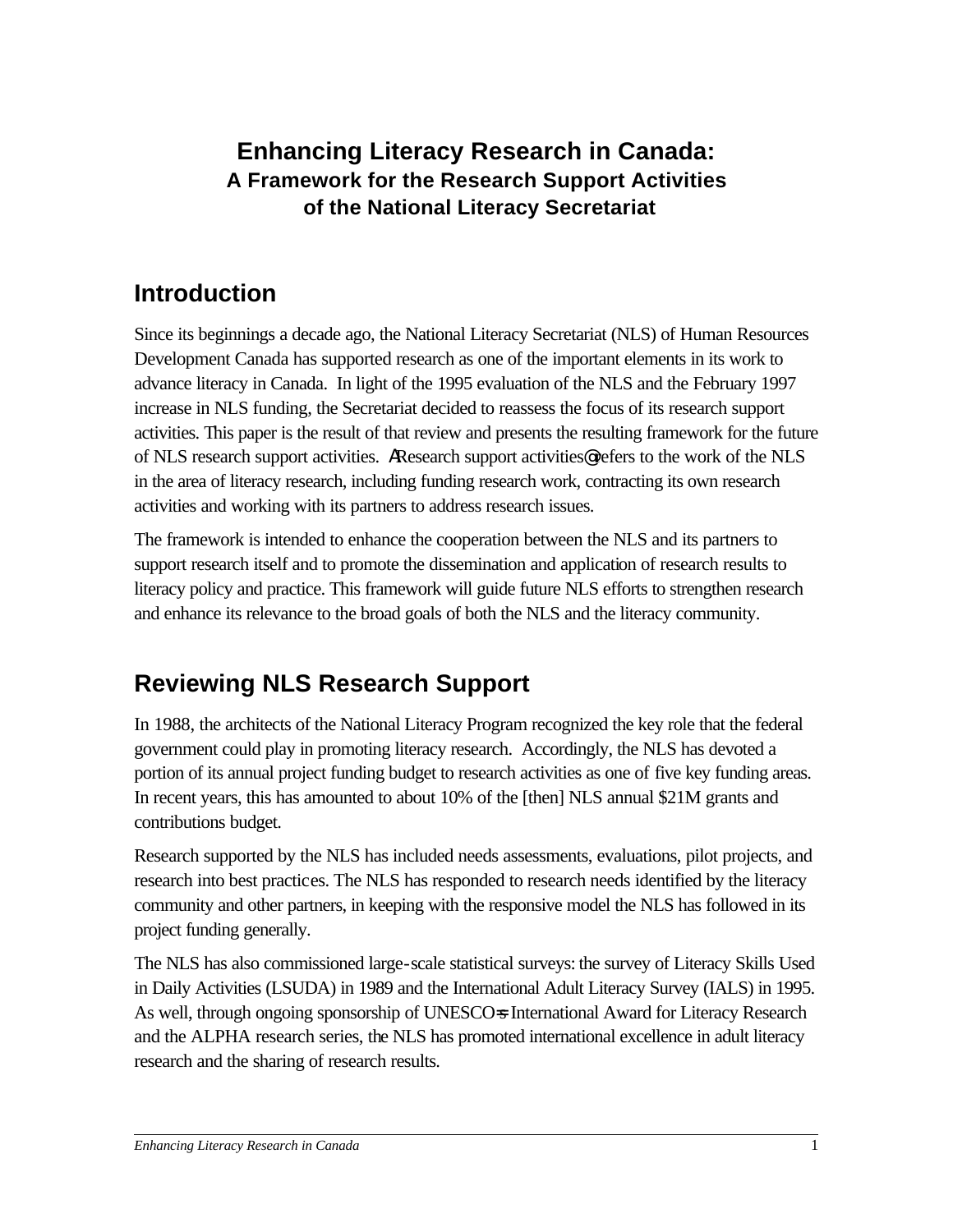## <span id="page-2-0"></span>**Enhancing Literacy Research in Canada: A Framework for the Research Support Activities of the National Literacy Secretariat**

# **Introduction**

Since its beginnings a decade ago, the National Literacy Secretariat (NLS) of Human Resources Development Canada has supported research as one of the important elements in its work to advance literacy in Canada. In light of the 1995 evaluation of the NLS and the February 1997 increase in NLS funding, the Secretariat decided to reassess the focus of its research support activities. This paper is the result of that review and presents the resulting framework for the future of NLS research support activities. AResearch support activities@ refers to the work of the NLS in the area of literacy research, including funding research work, contracting its own research activities and working with its partners to address research issues.

The framework is intended to enhance the cooperation between the NLS and its partners to support research itself and to promote the dissemination and application of research results to literacy policy and practice. This framework will guide future NLS efforts to strengthen research and enhance its relevance to the broad goals of both the NLS and the literacy community.

# **Reviewing NLS Research Support**

In 1988, the architects of the National Literacy Program recognized the key role that the federal government could play in promoting literacy research. Accordingly, the NLS has devoted a portion of its annual project funding budget to research activities as one of five key funding areas. In recent years, this has amounted to about 10% of the [then] NLS annual \$21M grants and contributions budget.

Research supported by the NLS has included needs assessments, evaluations, pilot projects, and research into best practices. The NLS has responded to research needs identified by the literacy community and other partners, in keeping with the responsive model the NLS has followed in its project funding generally.

The NLS has also commissioned large-scale statistical surveys: the survey of Literacy Skills Used in Daily Activities (LSUDA) in 1989 and the International Adult Literacy Survey (IALS) in 1995. As well, through ongoing sponsorship of UNESCO=s International Award for Literacy Research and the ALPHA research series, the NLS has promoted international excellence in adult literacy research and the sharing of research results.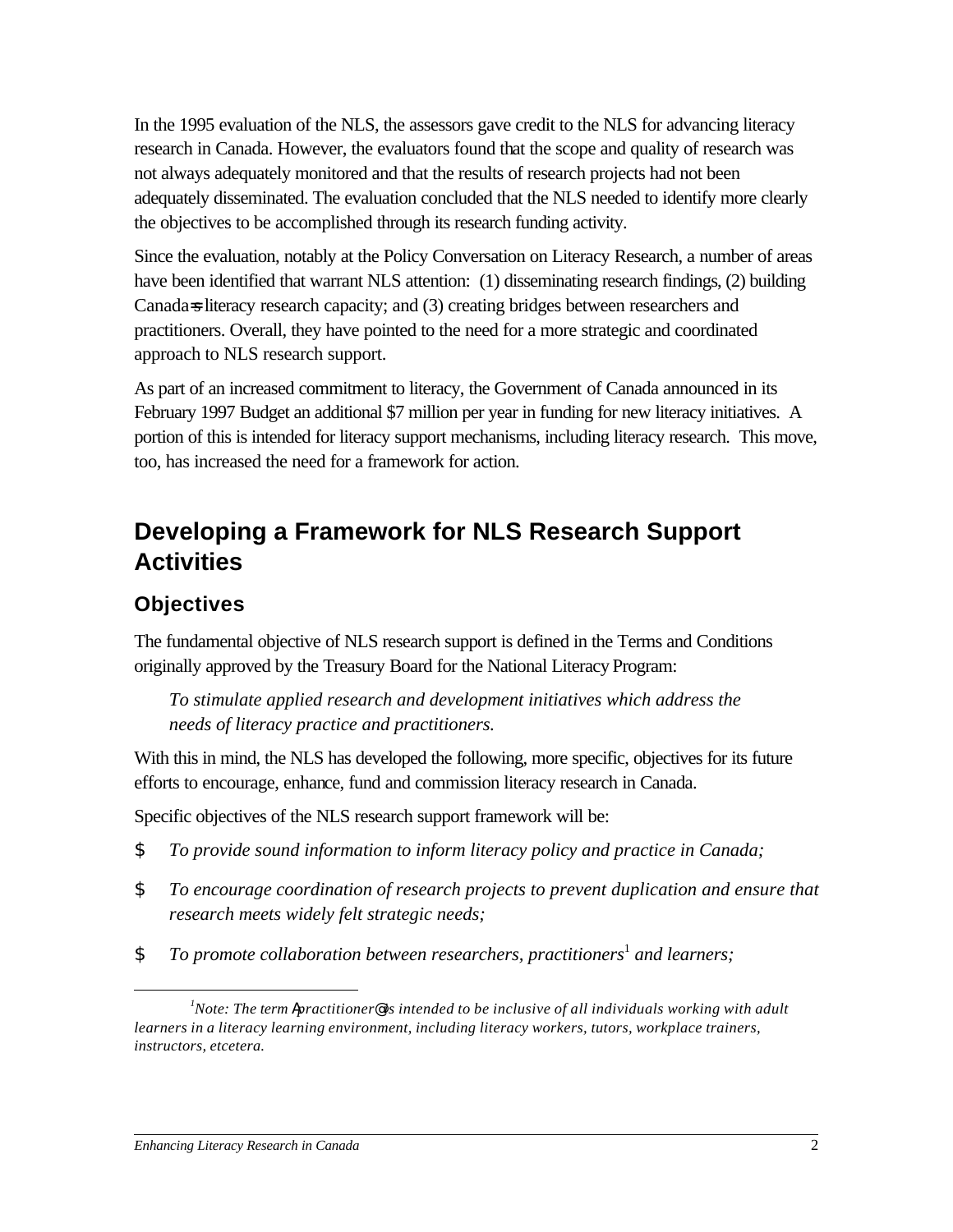<span id="page-3-0"></span>In the 1995 evaluation of the NLS, the assessors gave credit to the NLS for advancing literacy research in Canada. However, the evaluators found that the scope and quality of research was not always adequately monitored and that the results of research projects had not been adequately disseminated. The evaluation concluded that the NLS needed to identify more clearly the objectives to be accomplished through its research funding activity.

Since the evaluation, notably at the Policy Conversation on Literacy Research, a number of areas have been identified that warrant NLS attention: (1) disseminating research findings, (2) building Canada=s literacy research capacity; and (3) creating bridges between researchers and practitioners. Overall, they have pointed to the need for a more strategic and coordinated approach to NLS research support.

As part of an increased commitment to literacy, the Government of Canada announced in its February 1997 Budget an additional \$7 million per year in funding for new literacy initiatives. A portion of this is intended for literacy support mechanisms, including literacy research. This move, too, has increased the need for a framework for action.

# **Developing a Framework for NLS Research Support Activities**

## **Objectives**

 $\overline{a}$ 

The fundamental objective of NLS research support is defined in the Terms and Conditions originally approved by the Treasury Board for the National Literacy Program:

*To stimulate applied research and development initiatives which address the needs of literacy practice and practitioners.*

With this in mind, the NLS has developed the following, more specific, objectives for its future efforts to encourage, enhance, fund and commission literacy research in Canada.

Specific objectives of the NLS research support framework will be:

- *\$ To provide sound information to inform literacy policy and practice in Canada;*
- *\$ To encourage coordination of research projects to prevent duplication and ensure that research meets widely felt strategic needs;*
- **\$** To promote collaboration between researchers, practitioners<sup>1</sup> and learners;

*<sup>1</sup>Note: The term Apractitioner@ is intended to be inclusive of all individuals working with adult learners in a literacy learning environment, including literacy workers, tutors, workplace trainers, instructors, etcetera.*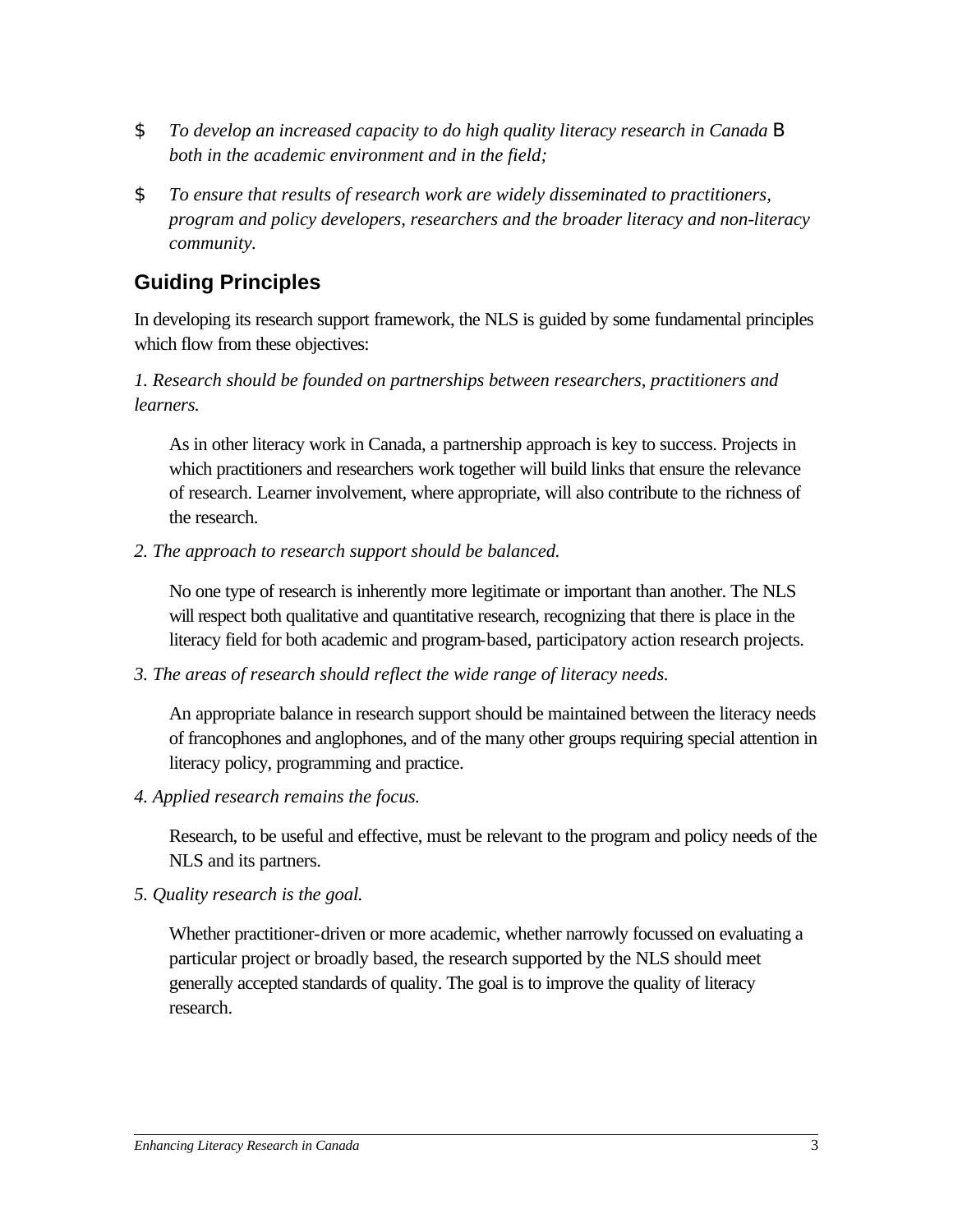- <span id="page-4-0"></span>*\$ To develop an increased capacity to do high quality literacy research in Canada B both in the academic environment and in the field;*
- *\$ To ensure that results of research work are widely disseminated to practitioners, program and policy developers, researchers and the broader literacy and non-literacy community.*

## **Guiding Principles**

In developing its research support framework, the NLS is guided by some fundamental principles which flow from these objectives:

### *1. Research should be founded on partnerships between researchers, practitioners and learners.*

As in other literacy work in Canada, a partnership approach is key to success. Projects in which practitioners and researchers work together will build links that ensure the relevance of research. Learner involvement, where appropriate, will also contribute to the richness of the research.

*2. The approach to research support should be balanced.*

No one type of research is inherently more legitimate or important than another. The NLS will respect both qualitative and quantitative research, recognizing that there is place in the literacy field for both academic and program-based, participatory action research projects.

*3. The areas of research should reflect the wide range of literacy needs.*

An appropriate balance in research support should be maintained between the literacy needs of francophones and anglophones, and of the many other groups requiring special attention in literacy policy, programming and practice.

*4. Applied research remains the focus.*

Research, to be useful and effective, must be relevant to the program and policy needs of the NLS and its partners.

*5. Quality research is the goal.*

Whether practitioner-driven or more academic, whether narrowly focussed on evaluating a particular project or broadly based, the research supported by the NLS should meet generally accepted standards of quality. The goal is to improve the quality of literacy research.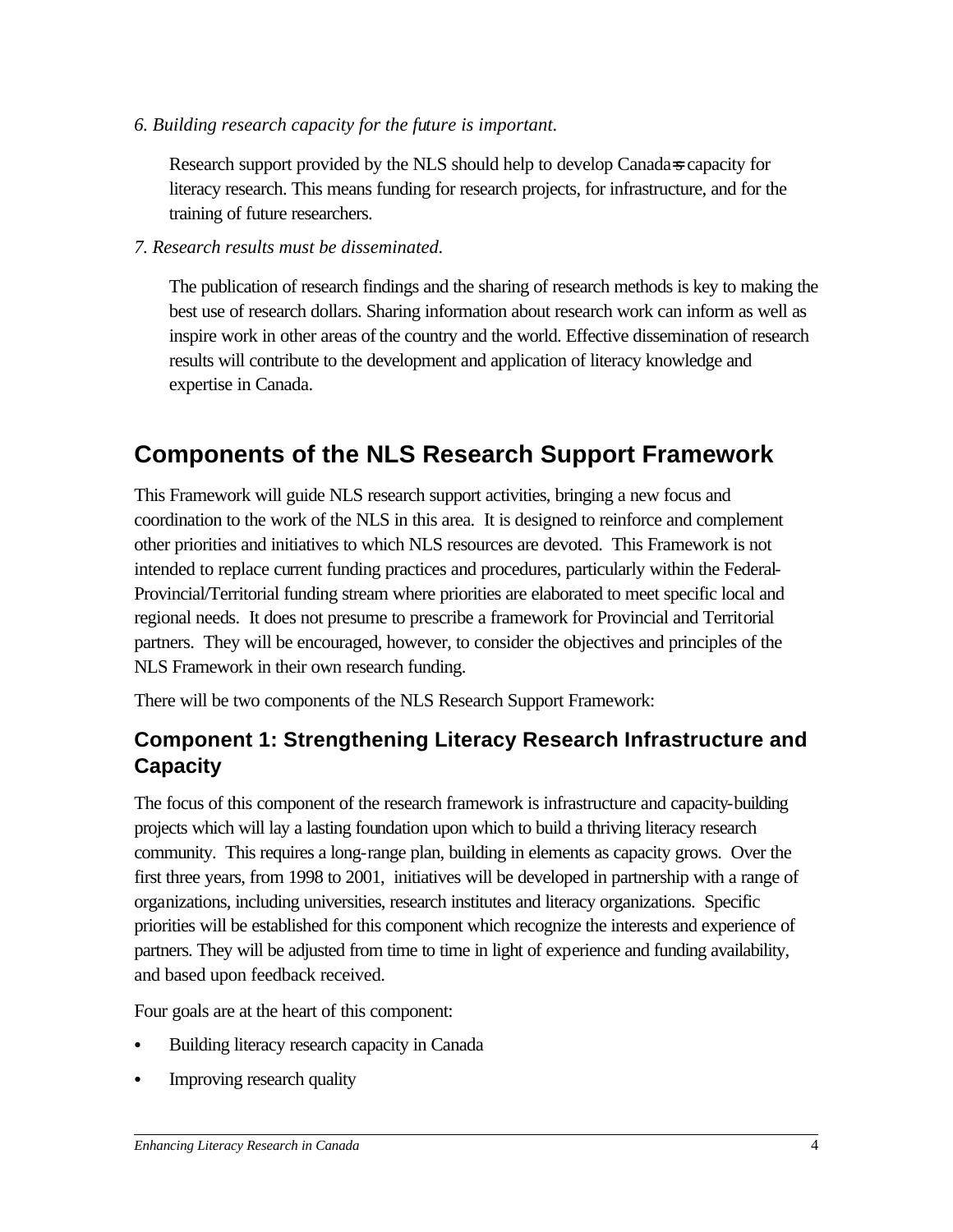<span id="page-5-0"></span>*6. Building research capacity for the future is important.*

Research support provided by the NLS should help to develop Canada=s capacity for literacy research. This means funding for research projects, for infrastructure, and for the training of future researchers.

*7. Research results must be disseminated.*

The publication of research findings and the sharing of research methods is key to making the best use of research dollars. Sharing information about research work can inform as well as inspire work in other areas of the country and the world. Effective dissemination of research results will contribute to the development and application of literacy knowledge and expertise in Canada.

# **Components of the NLS Research Support Framework**

This Framework will guide NLS research support activities, bringing a new focus and coordination to the work of the NLS in this area. It is designed to reinforce and complement other priorities and initiatives to which NLS resources are devoted. This Framework is not intended to replace current funding practices and procedures, particularly within the Federal-Provincial/Territorial funding stream where priorities are elaborated to meet specific local and regional needs. It does not presume to prescribe a framework for Provincial and Territorial partners. They will be encouraged, however, to consider the objectives and principles of the NLS Framework in their own research funding.

There will be two components of the NLS Research Support Framework:

## **Component 1: Strengthening Literacy Research Infrastructure and Capacity**

The focus of this component of the research framework is infrastructure and capacity-building projects which will lay a lasting foundation upon which to build a thriving literacy research community. This requires a long-range plan, building in elements as capacity grows. Over the first three years, from 1998 to 2001, initiatives will be developed in partnership with a range of organizations, including universities, research institutes and literacy organizations. Specific priorities will be established for this component which recognize the interests and experience of partners. They will be adjusted from time to time in light of experience and funding availability, and based upon feedback received.

Four goals are at the heart of this component:

- Building literacy research capacity in Canada
- Improving research quality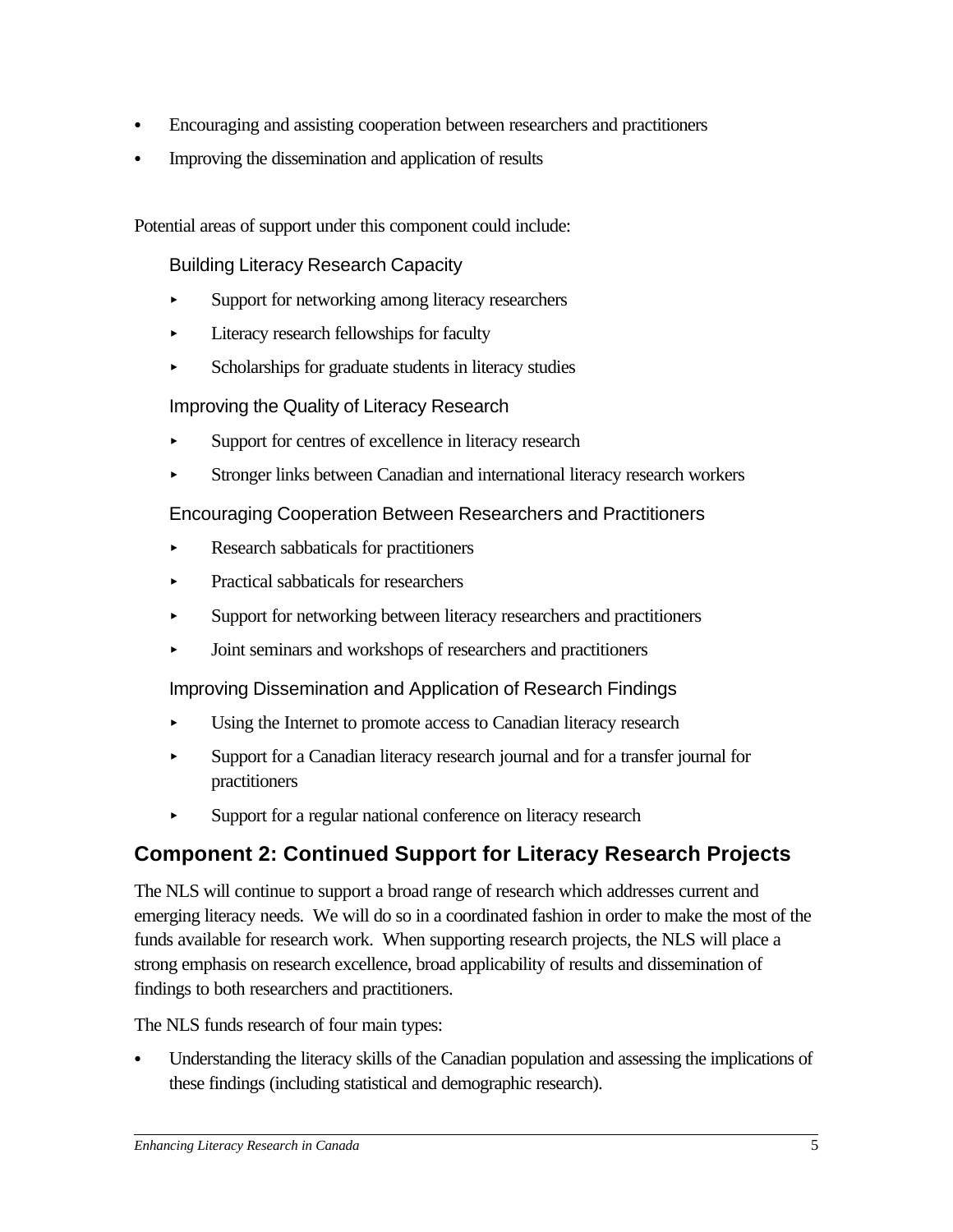- <span id="page-6-0"></span>Encouraging and assisting cooperation between researchers and practitioners
- Improving the dissemination and application of results

Potential areas of support under this component could include:

Building Literacy Research Capacity

- Support for networking among literacy researchers
- < Literacy research fellowships for faculty
- Scholarships for graduate students in literacy studies

Improving the Quality of Literacy Research

- Support for centres of excellence in literacy research
- < Stronger links between Canadian and international literacy research workers

### Encouraging Cooperation Between Researchers and Practitioners

- < Research sabbaticals for practitioners
- < Practical sabbaticals for researchers
- Support for networking between literacy researchers and practitioners
- < Joint seminars and workshops of researchers and practitioners

Improving Dissemination and Application of Research Findings

- Using the Internet to promote access to Canadian literacy research
- < Support for a Canadian literacy research journal and for a transfer journal for practitioners
- < Support for a regular national conference on literacy research

## **Component 2: Continued Support for Literacy Research Projects**

The NLS will continue to support a broad range of research which addresses current and emerging literacy needs. We will do so in a coordinated fashion in order to make the most of the funds available for research work. When supporting research projects, the NLS will place a strong emphasis on research excellence, broad applicability of results and dissemination of findings to both researchers and practitioners.

The NLS funds research of four main types:

C Understanding the literacy skills of the Canadian population and assessing the implications of these findings (including statistical and demographic research).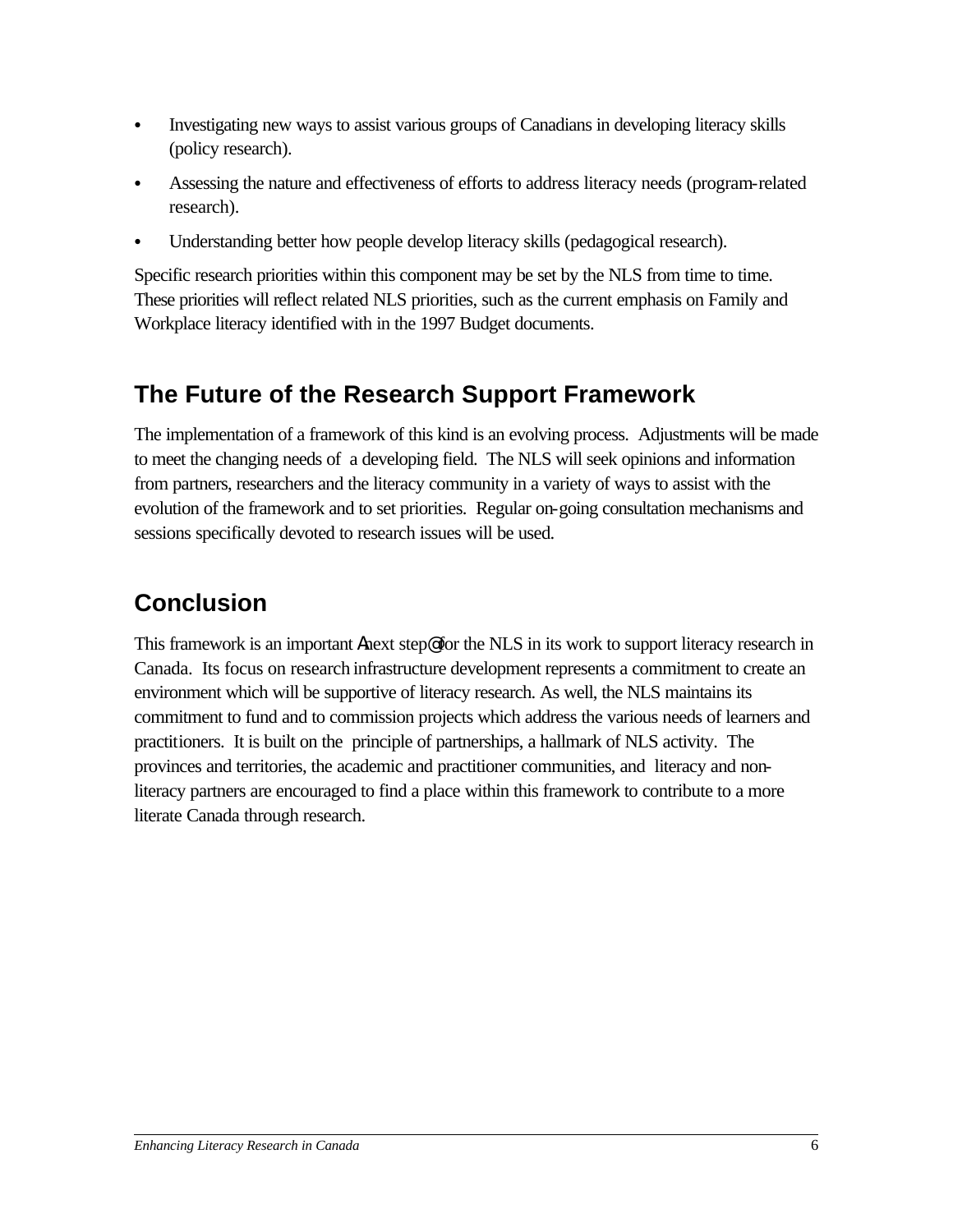- <span id="page-7-0"></span>Investigating new ways to assist various groups of Canadians in developing literacy skills (policy research).
- Assessing the nature and effectiveness of efforts to address literacy needs (program-related research).
- Understanding better how people develop literacy skills (pedagogical research).

Specific research priorities within this component may be set by the NLS from time to time. These priorities will reflect related NLS priorities, such as the current emphasis on Family and Workplace literacy identified with in the 1997 Budget documents.

# **The Future of the Research Support Framework**

The implementation of a framework of this kind is an evolving process. Adjustments will be made to meet the changing needs of a developing field. The NLS will seek opinions and information from partners, researchers and the literacy community in a variety of ways to assist with the evolution of the framework and to set priorities. Regular on-going consultation mechanisms and sessions specifically devoted to research issues will be used.

# **Conclusion**

This framework is an important Anext step@ for the NLS in its work to support literacy research in Canada. Its focus on research infrastructure development represents a commitment to create an environment which will be supportive of literacy research. As well, the NLS maintains its commitment to fund and to commission projects which address the various needs of learners and practitioners. It is built on the principle of partnerships, a hallmark of NLS activity. The provinces and territories, the academic and practitioner communities, and literacy and nonliteracy partners are encouraged to find a place within this framework to contribute to a more literate Canada through research.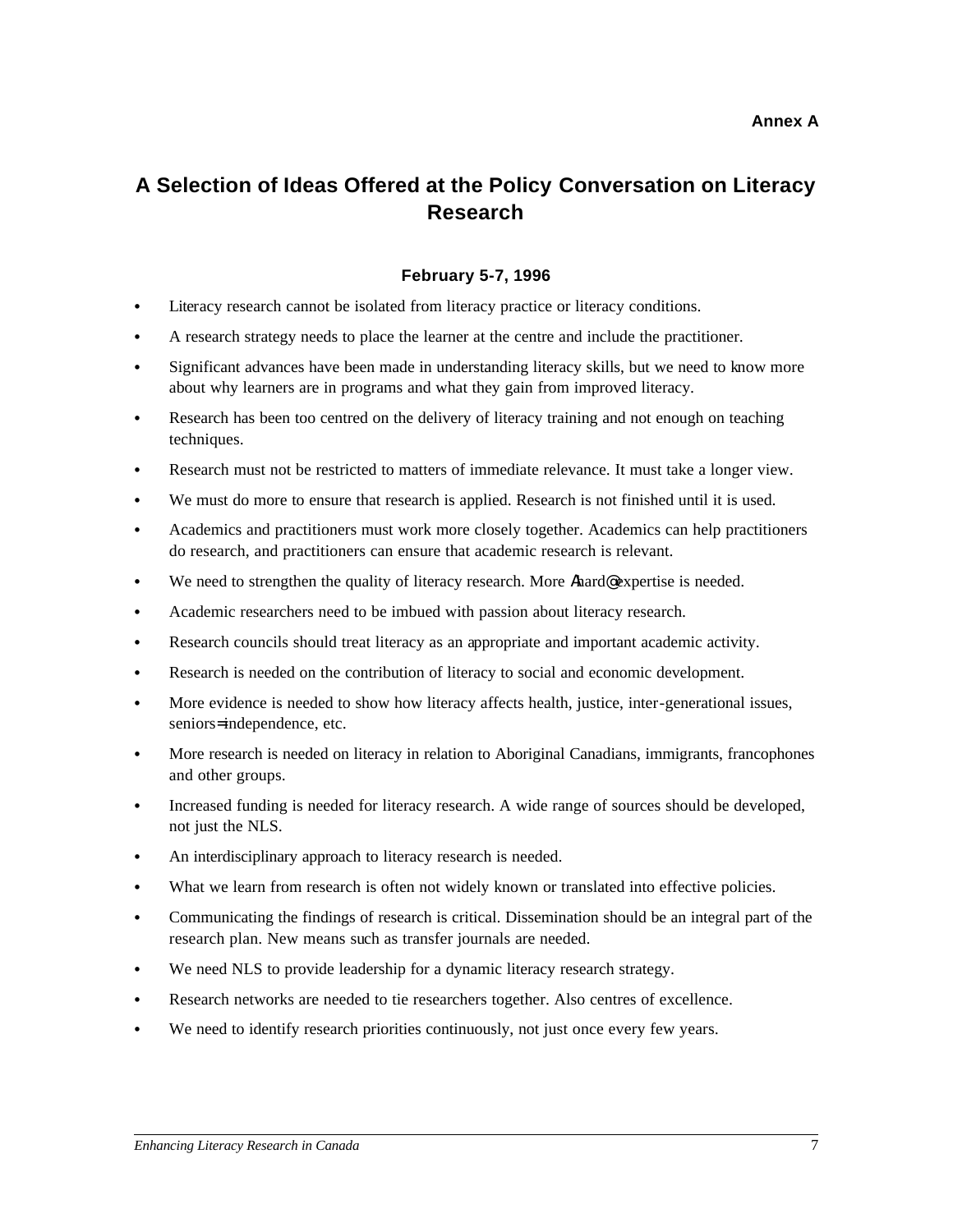## <span id="page-8-0"></span>**A Selection of Ideas Offered at the Policy Conversation on Literacy Research**

### **February 5-7, 1996**

- Literacy research cannot be isolated from literacy practice or literacy conditions.
- A research strategy needs to place the learner at the centre and include the practitioner.
- C Significant advances have been made in understanding literacy skills, but we need to know more about why learners are in programs and what they gain from improved literacy.
- Research has been too centred on the delivery of literacy training and not enough on teaching techniques.
- Research must not be restricted to matters of immediate relevance. It must take a longer view.
- We must do more to ensure that research is applied. Research is not finished until it is used.
- C Academics and practitioners must work more closely together. Academics can help practitioners do research, and practitioners can ensure that academic research is relevant.
- We need to strengthen the quality of literacy research. More Ahard@ expertise is needed.
- Academic researchers need to be imbued with passion about literacy research.
- Research councils should treat literacy as an appropriate and important academic activity.
- Research is needed on the contribution of literacy to social and economic development.
- More evidence is needed to show how literacy affects health, justice, inter-generational issues, seniors= independence, etc.
- More research is needed on literacy in relation to Aboriginal Canadians, immigrants, francophones and other groups.
- Increased funding is needed for literacy research. A wide range of sources should be developed, not just the NLS.
- An interdisciplinary approach to literacy research is needed.
- What we learn from research is often not widely known or translated into effective policies.
- C Communicating the findings of research is critical. Dissemination should be an integral part of the research plan. New means such as transfer journals are needed.
- We need NLS to provide leadership for a dynamic literacy research strategy.
- Research networks are needed to tie researchers together. Also centres of excellence.
- We need to identify research priorities continuously, not just once every few years.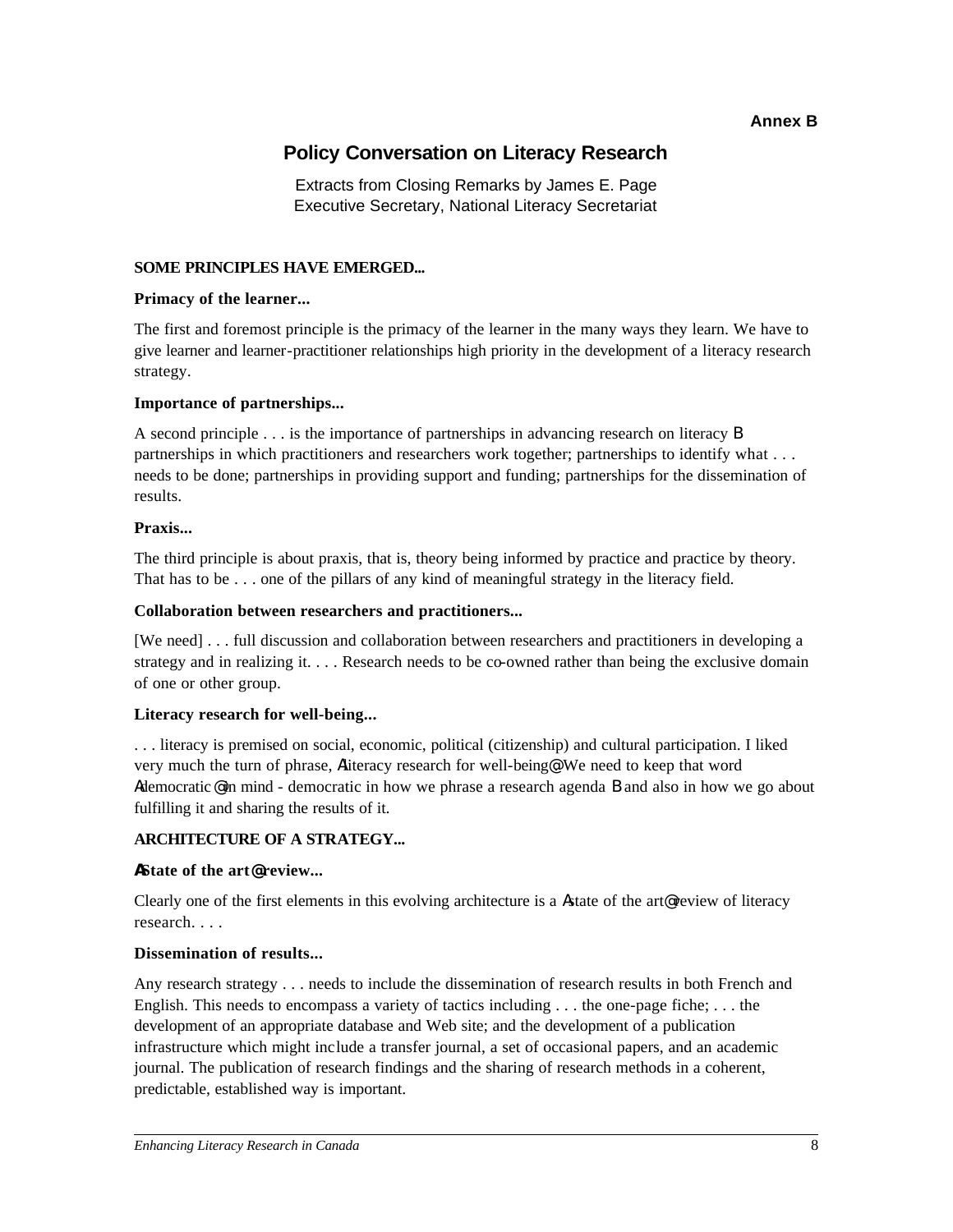#### **Annex B**

### **Policy Conversation on Literacy Research**

Extracts from Closing Remarks by James E. Page Executive Secretary, National Literacy Secretariat

#### <span id="page-9-0"></span>**SOME PRINCIPLES HAVE EMERGED...**

#### **Primacy of the learner...**

The first and foremost principle is the primacy of the learner in the many ways they learn. We have to give learner and learner-practitioner relationships high priority in the development of a literacy research strategy.

#### **Importance of partnerships...**

A second principle . . . is the importance of partnerships in advancing research on literacy B partnerships in which practitioners and researchers work together; partnerships to identify what . . . needs to be done; partnerships in providing support and funding; partnerships for the dissemination of results.

#### **Praxis...**

The third principle is about praxis, that is, theory being informed by practice and practice by theory. That has to be . . . one of the pillars of any kind of meaningful strategy in the literacy field.

#### **Collaboration between researchers and practitioners...**

[We need] . . . full discussion and collaboration between researchers and practitioners in developing a strategy and in realizing it. . . . Research needs to be co-owned rather than being the exclusive domain of one or other group.

#### **Literacy research for well-being...**

. . . literacy is premised on social, economic, political (citizenship) and cultural participation. I liked very much the turn of phrase, Aliteracy research for well-being@. We need to keep that word Ademocratic @ in mind - democratic in how we phrase a research agenda B and also in how we go about fulfilling it and sharing the results of it.

### **ARCHITECTURE OF A STRATEGY...**

#### **AState of the art@ review...**

Clearly one of the first elements in this evolving architecture is a Astate of the art@ review of literacy research. . . .

#### **Dissemination of results...**

Any research strategy . . . needs to include the dissemination of research results in both French and English. This needs to encompass a variety of tactics including  $\dots$  the one-page fiche;  $\dots$  the development of an appropriate database and Web site; and the development of a publication infrastructure which might include a transfer journal, a set of occasional papers, and an academic journal. The publication of research findings and the sharing of research methods in a coherent, predictable, established way is important.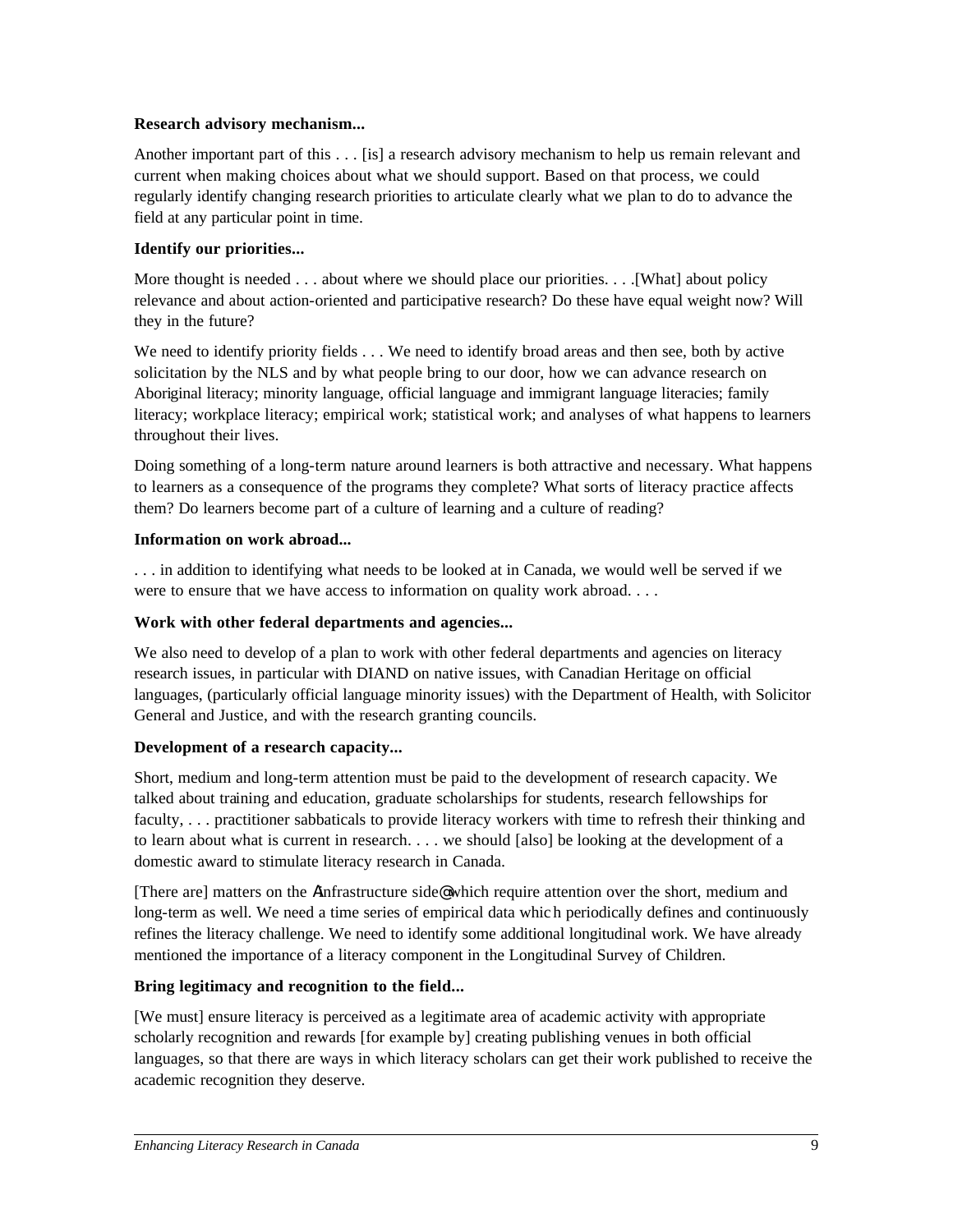#### **Research advisory mechanism...**

Another important part of this . . . [is] a research advisory mechanism to help us remain relevant and current when making choices about what we should support. Based on that process, we could regularly identify changing research priorities to articulate clearly what we plan to do to advance the field at any particular point in time.

### **Identify our priorities...**

More thought is needed . . . about where we should place our priorities. . . . [What] about policy relevance and about action-oriented and participative research? Do these have equal weight now? Will they in the future?

We need to identify priority fields . . . We need to identify broad areas and then see, both by active solicitation by the NLS and by what people bring to our door, how we can advance research on Aboriginal literacy; minority language, official language and immigrant language literacies; family literacy; workplace literacy; empirical work; statistical work; and analyses of what happens to learners throughout their lives.

Doing something of a long-term nature around learners is both attractive and necessary. What happens to learners as a consequence of the programs they complete? What sorts of literacy practice affects them? Do learners become part of a culture of learning and a culture of reading?

#### **Information on work abroad...**

. . . in addition to identifying what needs to be looked at in Canada, we would well be served if we were to ensure that we have access to information on quality work abroad. . . .

#### **Work with other federal departments and agencies...**

We also need to develop of a plan to work with other federal departments and agencies on literacy research issues, in particular with DIAND on native issues, with Canadian Heritage on official languages, (particularly official language minority issues) with the Department of Health, with Solicitor General and Justice, and with the research granting councils.

### **Development of a research capacity...**

Short, medium and long-term attention must be paid to the development of research capacity. We talked about training and education, graduate scholarships for students, research fellowships for faculty, . . . practitioner sabbaticals to provide literacy workers with time to refresh their thinking and to learn about what is current in research. . . . we should [also] be looking at the development of a domestic award to stimulate literacy research in Canada.

[There are] matters on the Ainfrastructure side@ which require attention over the short, medium and long-term as well. We need a time series of empirical data whic h periodically defines and continuously refines the literacy challenge. We need to identify some additional longitudinal work. We have already mentioned the importance of a literacy component in the Longitudinal Survey of Children.

### **Bring legitimacy and recognition to the field...**

[We must] ensure literacy is perceived as a legitimate area of academic activity with appropriate scholarly recognition and rewards [for example by] creating publishing venues in both official languages, so that there are ways in which literacy scholars can get their work published to receive the academic recognition they deserve.